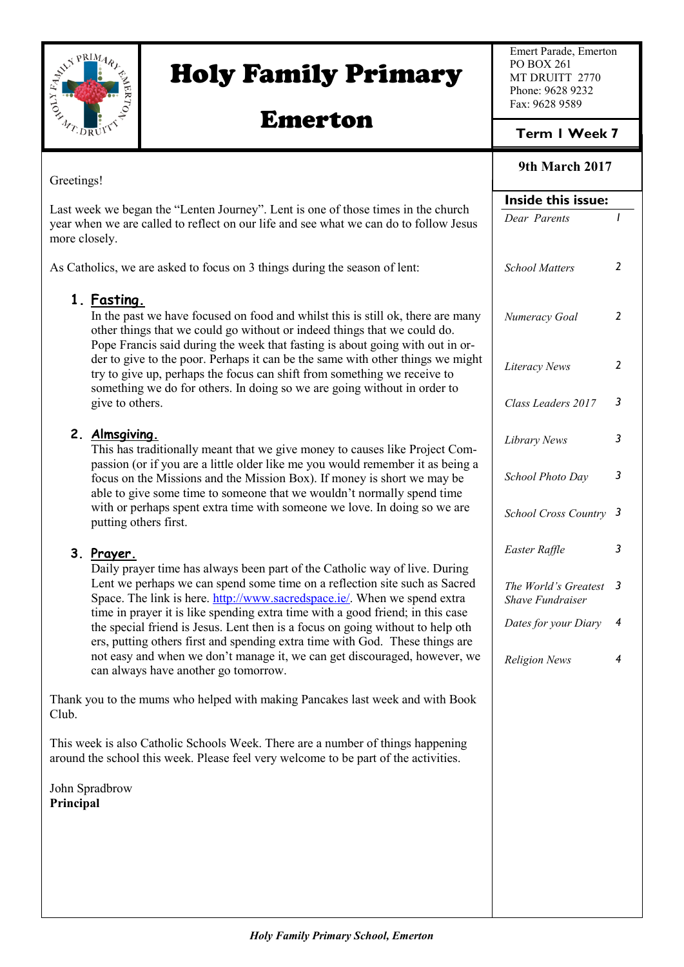

Greetings!

# Holy Family Primary

## Emerton

Emert Parade, Emerton PO BOX 261 MT DRUITT 2770 Phone: 9628 9232 Fax: 9628 9589

### **Term 1 Week 7**

#### **9th March 2017**

|                                                                                                                                                                                                                                                             | Inside this issue:                              |                |
|-------------------------------------------------------------------------------------------------------------------------------------------------------------------------------------------------------------------------------------------------------------|-------------------------------------------------|----------------|
| Last week we began the "Lenten Journey". Lent is one of those times in the church<br>year when we are called to reflect on our life and see what we can do to follow Jesus<br>more closely.                                                                 | Dear Parents                                    | $\mathbf{I}$   |
| As Catholics, we are asked to focus on 3 things during the season of lent:                                                                                                                                                                                  | <b>School Matters</b>                           | $\mathbf{2}$   |
| 1. Fasting.<br>In the past we have focused on food and whilst this is still ok, there are many<br>other things that we could go without or indeed things that we could do.<br>Pope Francis said during the week that fasting is about going with out in or- | Numeracy Goal                                   | 2              |
| der to give to the poor. Perhaps it can be the same with other things we might<br>try to give up, perhaps the focus can shift from something we receive to<br>something we do for others. In doing so we are going without in order to                      | Literacy News                                   | 2              |
| give to others.                                                                                                                                                                                                                                             | Class Leaders 2017                              | 3              |
| 2. Almsgiving.<br>This has traditionally meant that we give money to causes like Project Com-<br>passion (or if you are a little older like me you would remember it as being a                                                                             | Library News                                    | 3              |
| focus on the Missions and the Mission Box). If money is short we may be<br>able to give some time to someone that we wouldn't normally spend time                                                                                                           | School Photo Day                                | 3              |
| with or perhaps spent extra time with someone we love. In doing so we are<br>putting others first.                                                                                                                                                          | School Cross Country 3                          |                |
| 3. Prayer.<br>Daily prayer time has always been part of the Catholic way of live. During                                                                                                                                                                    | Easter Raffle                                   | 3              |
| Lent we perhaps we can spend some time on a reflection site such as Sacred<br>Space. The link is here. http://www.sacredspace.ie/. When we spend extra                                                                                                      | The World's Greatest<br><b>Shave Fundraiser</b> | - 3            |
| time in prayer it is like spending extra time with a good friend; in this case<br>the special friend is Jesus. Lent then is a focus on going without to help oth<br>ers, putting others first and spending extra time with God. These things are            | Dates for your Diary                            | 4              |
| not easy and when we don't manage it, we can get discouraged, however, we<br>can always have another go tomorrow.                                                                                                                                           | <b>Religion News</b>                            | $\overline{4}$ |
| Thank you to the mums who helped with making Pancakes last week and with Book<br>Club.                                                                                                                                                                      |                                                 |                |
| This week is also Catholic Schools Week. There are a number of things happening<br>around the school this week. Please feel very welcome to be part of the activities.                                                                                      |                                                 |                |
| John Spradbrow<br>Principal                                                                                                                                                                                                                                 |                                                 |                |
|                                                                                                                                                                                                                                                             |                                                 |                |
|                                                                                                                                                                                                                                                             |                                                 |                |
|                                                                                                                                                                                                                                                             |                                                 |                |
|                                                                                                                                                                                                                                                             |                                                 |                |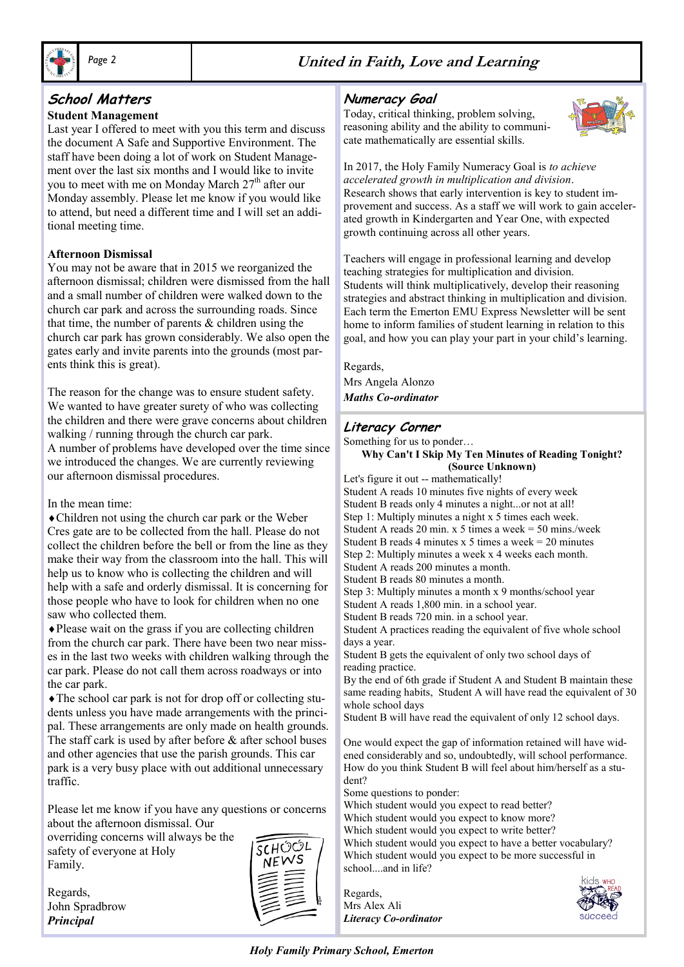

#### **School Matters**

#### **Student Management**

Last year I offered to meet with you this term and discuss the document A Safe and Supportive Environment. The staff have been doing a lot of work on Student Management over the last six months and I would like to invite you to meet with me on Monday March 27<sup>th</sup> after our Monday assembly. Please let me know if you would like to attend, but need a different time and I will set an additional meeting time.

#### **Afternoon Dismissal**

You may not be aware that in 2015 we reorganized the afternoon dismissal; children were dismissed from the hall and a small number of children were walked down to the church car park and across the surrounding roads. Since that time, the number of parents  $\&$  children using the church car park has grown considerably. We also open the gates early and invite parents into the grounds (most parents think this is great).

The reason for the change was to ensure student safety. We wanted to have greater surety of who was collecting the children and there were grave concerns about children walking / running through the church car park. A number of problems have developed over the time since we introduced the changes. We are currently reviewing our afternoon dismissal procedures.

In the mean time:

Children not using the church car park or the Weber Cres gate are to be collected from the hall. Please do not collect the children before the bell or from the line as they make their way from the classroom into the hall. This will help us to know who is collecting the children and will help with a safe and orderly dismissal. It is concerning for those people who have to look for children when no one saw who collected them.

Please wait on the grass if you are collecting children from the church car park. There have been two near misses in the last two weeks with children walking through the car park. Please do not call them across roadways or into the car park.

The school car park is not for drop off or collecting students unless you have made arrangements with the principal. These arrangements are only made on health grounds. The staff cark is used by after before  $\&$  after school buses and other agencies that use the parish grounds. This car park is a very busy place with out additional unnecessary traffic.

Please let me know if you have any questions or concerns about the afternoon dismissal. Our

overriding concerns will always be the safety of everyone at Holy Family.

Regards, John Spradbrow *Principal*



#### **Numeracy Goal**

Today, critical thinking, problem solving, reasoning ability and the ability to communicate mathematically are essential skills.



In 2017, the Holy Family Numeracy Goal is *to achieve accelerated growth in multiplication and division*. Research shows that early intervention is key to student improvement and success. As a staff we will work to gain accelerated growth in Kindergarten and Year One, with expected growth continuing across all other years.

Teachers will engage in professional learning and develop teaching strategies for multiplication and division. Students will think multiplicatively, develop their reasoning strategies and abstract thinking in multiplication and division. Each term the Emerton EMU Express Newsletter will be sent home to inform families of student learning in relation to this goal, and how you can play your part in your child's learning.

Regards, Mrs Angela Alonzo *Maths Co-ordinator*

#### **Literacy Corner**

Something for us to ponder…

**Why Can't I Skip My Ten Minutes of Reading Tonight? (Source Unknown)**

Let's figure it out -- mathematically! Student A reads 10 minutes five nights of every week Student B reads only 4 minutes a night...or not at all! Step 1: Multiply minutes a night x 5 times each week. Student A reads 20 min. x 5 times a week = 50 mins./week Student B reads 4 minutes  $x$  5 times a week = 20 minutes Step 2: Multiply minutes a week x 4 weeks each month. Student A reads 200 minutes a month. Student B reads 80 minutes a month. Step 3: Multiply minutes a month x 9 months/school year Student A reads 1,800 min. in a school year. Student B reads 720 min. in a school year. Student A practices reading the equivalent of five whole school days a year. Student B gets the equivalent of only two school days of reading practice. By the end of 6th grade if Student A and Student B maintain these same reading habits, Student A will have read the equivalent of 30 whole school days Student B will have read the equivalent of only 12 school days. One would expect the gap of information retained will have wid-

ened considerably and so, undoubtedly, will school performance. How do you think Student B will feel about him/herself as a student?

Some questions to ponder:

Which student would you expect to read better? Which student would you expect to know more?

Which student would you expect to write better?

Which student would you expect to have a better vocabulary? Which student would you expect to be more successful in school....and in life?

Regards, Mrs Alex Ali *Literacy Co-ordinator*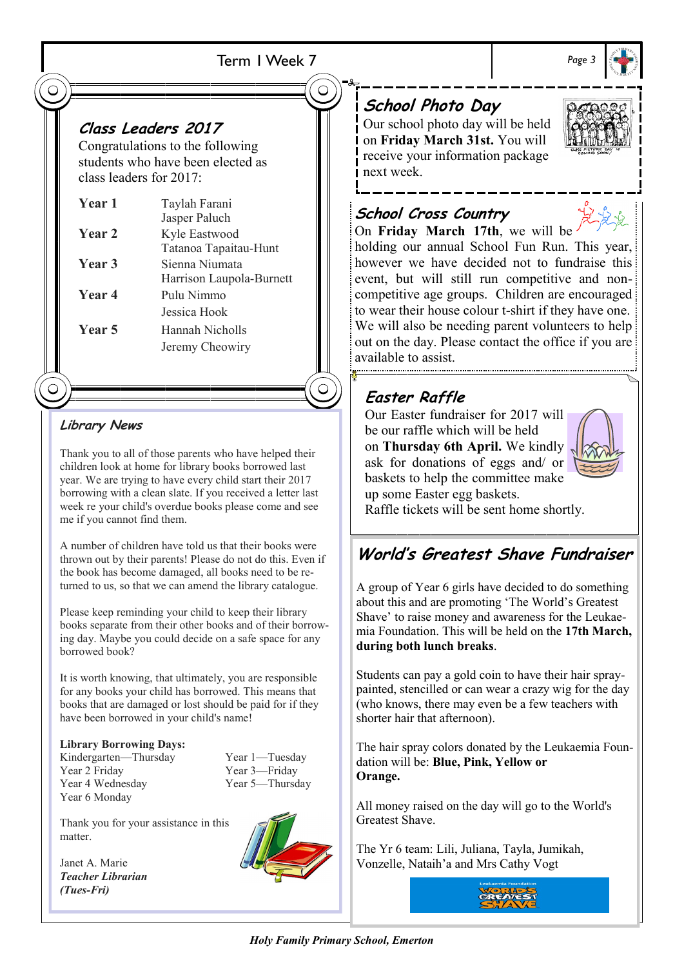### Term 1 Week 7

## **Class Leaders 2017**

Congratulations to the following students who have been elected as class leaders for 2017:

| <b>Year 1</b> | Taylah Farani            |
|---------------|--------------------------|
|               | Jasper Paluch            |
| Year 2        | Kyle Eastwood            |
|               | Tatanoa Tapaitau-Hunt    |
| Year 3        | Sienna Niumata           |
|               | Harrison Laupola-Burnett |
| Year 4        | Pulu Nimmo               |
|               | Jessica Hook             |
| Year 5        | Hannah Nicholls          |
|               | Jeremy Cheowiry          |
|               |                          |

### **Library News**

Thank you to all of those parents who have helped their children look at home for library books borrowed last year. We are trying to have every child start their 2017 borrowing with a clean slate. If you received a letter last week re your child's overdue books please come and see me if you cannot find them.

A number of children have told us that their books were thrown out by their parents! Please do not do this. Even if the book has become damaged, all books need to be returned to us, so that we can amend the library catalogue.

Please keep reminding your child to keep their library books separate from their other books and of their borrowing day. Maybe you could decide on a safe space for any borrowed book?

It is worth knowing, that ultimately, you are responsible for any books your child has borrowed. This means that books that are damaged or lost should be paid for if they have been borrowed in your child's name!

#### **Library Borrowing Days:**

Kindergarten—Thursday Year 1—Tuesday Year 2 Friday Year 3—Friday Year 4 Wednesday Year 5—Thursday Year 6 Monday

Thank you for your assistance in this matter.

Janet A. Marie *Teacher Librarian (Tues-Fri)*



## **School Photo Day**

Our school photo day will be held on **Friday March 31st.** You will receive your information package next week.

## **School Cross Country**



On **Friday March 17th**, we will be holding our annual School Fun Run. This year, however we have decided not to fundraise this event, but will still run competitive and noncompetitive age groups. Children are encouraged to wear their house colour t-shirt if they have one. We will also be needing parent volunteers to help out on the day. Please contact the office if you are available to assist.

## **Easter Raffle**

Our Easter fundraiser for 2017 will be our raffle which will be held on **Thursday 6th April.** We kindly ask for donations of eggs and/ or baskets to help the committee make up some Easter egg baskets.



Raffle tickets will be sent home shortly.

## **World's Greatest Shave Fundraiser**

A group of Year 6 girls have decided to do something about this and are promoting 'The World's Greatest Shave' to raise money and awareness for the Leukaemia Foundation. This will be held on the **17th March, during both lunch breaks**.

Students can pay a gold coin to have their hair spraypainted, stencilled or can wear a crazy wig for the day (who knows, there may even be a few teachers with shorter hair that afternoon).

The hair spray colors donated by the Leukaemia Foundation will be: **Blue, Pink, Yellow or Orange.** 

All money raised on the day will go to the World's Greatest Shave.

The Yr 6 team: Lili, Juliana, Tayla, Jumikah, Vonzelle, Nataih'a and Mrs Cathy Vogt